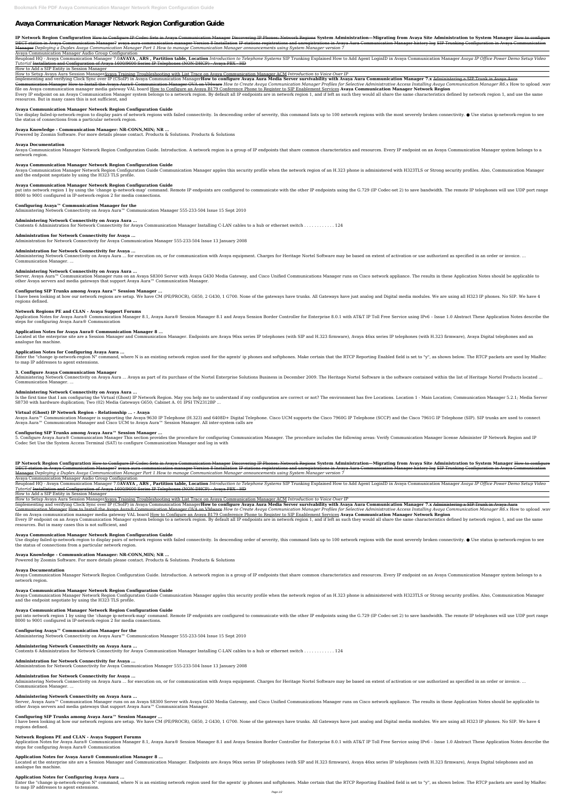# **Avaya Communication Manager Network Region Configuration Guide**

IP Network Region Configuration How to Configure IP-Codec Sets in Avaya Communication Manager Discovering IP Phones: Network Regions System Administration—Migrating from Avaya Site Administration to System Manager How to c DECT station in Avaya Communication Manager? avaya aura communication manager Version 8 Installation IP stations registrations and unregistrations in Avaya Aura Communication Manager history log SIP Trunking Configuration Manager *Deploying a Duplex Avaya Communication Manager Part 1 How to manage Communication Manager announcements using System Manager version 7*

Reupload HQ - Avaya Communication Manager 7.0AVAYA, ARS, Partition table, Location Introduction to Telephone Systems SIP Trunking Explained How to Add Agent LoginID in Avaya Communication Manager Avaya IP Office Power Demo *Tutorial* Installation and Configuration of Avaya 1600/9600 Series IP Telephones (NON-DHCP) - Avaya PBX - HD

Avaya Communication Manager Audio Group Configuration

Communication Manager How to Install the Avaya Aura® Communication Manager OVA on VMware How to Create Avaya Communication Manager Profiles for Selective Administrative Access Installing Avaya Communication Manager R6.x Ho file on Avaya communication manager media gateway VAL board How to Configure an Avaya B179 Conference Phone to Register to SIP Enablement Services **Avaya Communication Manager Network Region**

Every IP endpoint on an Avaya Communication Manager system belongs to a network region. By default all IP endpoints are in network region 1, and if left as such they would all share the same characteristics defined by netw resources. But in many cases this is not sufficient, and

How to Add a SIP Entity in Session Manager

How to Setup Avaya Aura Session ManagerAvaya Training Troubleshooting with List Trace on Avaya Communication Manager ACM *Introduction to Voice Over IP*

Implementing and verifying Clock Sync over IP (CSoIP) in Avaya Communication ManagerHow to configure Avaya Aura Media Server survivability with Avaya Aura Communication Manager 7.x Administering a SIP Trunk in Avaya Aura

Use display failed-ip-network-region to display pairs of network regions with failed connectivity. In descending order of severity, this command lists up to 100 network regions with the most severely broken connectivity. the status of connections from a particular network region.

Avaya Communication Manager Network Region Configuration Guide. Introduction. A network region is a group of IP endpoints that share common characteristics and resources. Every IP endpoint on an Avaya Communication Manager network region.

Avaya Communication Manager Network Region Configuration Guide Communication Manager apples this security profile when the network region of an H.323 phone is administered with H323TLS or Strong security profiles. Also, Co and the endpoint negotiate by using the H323 TLS profile.

put into network region 1 by using the 'change ip-network-map' command. Remote IP endpoints are configured to communicate with the other IP endpoints using the G.729 (IP Codec-set 2) to save bandwidth. The remote IP teleph 8000 to 9001 configured in IP-network-region 2 for media connections.

#### **Avaya Communication Manager Network Region Configuration Guide**

Administering Network Connectivity on Avaya Aura ... for execution on, or for communication with Avaya equipment. Charges for Heritage Nortel Software may be based on extent of activation or use authorized as specified in Communication Manager. ...

Server, Avaya Aura™ Communication Manager runs on an Avaya S8300 Server with Avaya G430 Media Gateway, and Cisco Unified Communications Manager runs on Cisco network appliance. The results in these Application Notes shoul other Avaya servers and media gateways that support Avaya Aura™ Communication Manager.

I have been looking at how our network regions are setup. We have CM (PE/PROCR), G650, 2 G430, 1 G700. None of the gateways have trunks. All Gateways have just analog and Digital media modules. We are using all H323 IP pho regions defined.

## **Avaya Knowledge - Communication Manager: NR-CONN,MIN; NR ...**

Powered by Zoomin Software. For more details please contact. Products & Solutions. Products & Solutions

#### **Avaya Documentation**

Application Notes for Avaya Aura® Communication Manager 8.1, Avaya Aura® Session Manager 8.1 and Avaya Session Border Controller for Enterprise 8.0.1 with AT&T IP Toll Free Service using IPv6 - Issue 1.0 Abstract These App steps for configuring Avaya Aura® Communication

Located at the enterprise site are a Session Manager and Communication Manager. Endpoints are Avaya 96xx series IP telephones (with SIP and H.323 firmware), Avaya 46xx series IP telephones (with H.323 firmware), Avaya 46xx analogue fax machine.

#### **Avaya Communication Manager Network Region Configuration Guide**

Enter the "change ip-network-region N" command, where N is an existing network region used for the agents' ip phones and softphones. Make certain that the RTCP Reporting Enabled field is set to "y", as shown below. The RTC to map IP addresses to agent extensions.

Administering Network Connectivity on Avaya Aura ... Avaya as part of its purchase of the Nortel Enterprise Solutions Business in December 2009. The Heritage Nortel Software is the software contained within the list of Her Communication Manager. ...

#### **Avaya Communication Manager Network Region Configuration Guide**

Is the first time that I am configuring the Virtual (Ghost) IP Network Region. May you help me to understand if my configuration are correct or not? The environment has five Locations. Location 1 - Main Location; Communica S8730 with hardware duplication; Two (02) Media Gateways G650; Cabinet A. 01 IPSI TN2312BP ...

#### **Configuring Avaya™ Communication Manager for the**

Administering Network Connectivity on Avaya Aura<sup>™</sup> Communication Manager 555-233-504 Issue 15 Sept 2010

5. Configure Avaya Aura® Communication Manager This section provides the procedure for configuring Communication Manager. The procedure includes the following areas: Verify Communication Manager license Administer IP Netwo Codec Set Use the System Access Terminal (SAT) to configure Communication Manager and log in with

#### **Administering Network Connectivity on Avaya Aura ...**

Contents 6 Administration for Network Connectivity for Avaya Communication Manager Installing C-LAN cables to a hub or ethernet switch . . . . . . . . . . . . 124

#### **Administration for Network Connectivity for Avaya ...**

IP Network Region Configuration How to Configure IP-Codec Sets in Avaya Communication Manager Discovering IP Phones: Network Regions System Administration—Migrating from Avaya Site Administration to System Manager How to c DECT station in Avaya Communication Manager? avaya aura communication manager Version 8 Installation IP stations registrations and unregistrations in Avaya Aura Communication Manager history log SIP Trunking Configuration Manager *Deploying a Duplex Avaya Communication Manager Part 1 How to manage Communication Manager announcements using System Manager version 7*

Administration for Network Connectivity for Avaya Communication Manager 555-233-504 Issue 13 January 2008

#### **Administration for Network Connectivity for Avaya ...**

Reupload HQ - Avaya Communication Manager 7.0AVAYA, ARS, Partition table, Location Introduction to Telephone Systems SIP Trunking Explained How to Add Agent LoginID in Avaya Communication Manager Avaya IP Office Power Demo *Tutorial* Installation and Configuration of Avaya 1600/9600 Series IP Telephones (NON-DHCP) - Avaya PBX - HD

#### **Administering Network Connectivity on Avaya Aura ...**

Communication Manager How to Install the Avaya Aura® Communication Manager OVA on VMware How to Create Avaya Communication Manager Profiles for Selective Administrative Access Installing Avaya Communication Manager R6.x Ho file on Avaya communication manager media gateway VAL board How to Configure an Avaya B179 Conference Phone to Register to SIP Enablement Services **Avaya Communication Manager Network Region**

Every IP endpoint on an Avava Communication Manager system belongs to a network region. By default all IP endpoints are in network region 1, and if left as such they would all share the same characteristics defined by netw resources. But in many cases this is not sufficient, and

#### **Configuring SIP Trunks among Avaya Aura™ Session Manager ...**

Use display failed-ip-network-region to display pairs of network regions with failed connectivity. In descending order of severity, this command lists up to 100 network regions with the most severely broken connectivity. the status of connections from a particular network region.

#### **Network Regions PE and CLAN - Avaya Support Forums**

Avaya Communication Manager Network Region Configuration Guide. Introduction. A network region is a group of IP endpoints that share common characteristics and resources. Every IP endpoint on an Avaya Communication Manager network region.

Avaya Communication Manager Network Region Configuration Guide Communication Manager apples this security profile when the network region of an H.323 phone is administered with H323TLS or Strong security profiles. Also, Co and the endpoint negotiate by using the H323 TLS profile.

#### **Application Notes for Avaya Aura® Communication Manager 8 ...**

put into network region 1 by using the 'change ip-network-map' command. Remote IP endpoints are configured to communicate with the other IP endpoints using the G.729 (IP Codec-set 2) to save bandwidth. The remote IP teleph 8000 to 9001 configured in IP-network-region 2 for media connections.

#### **Application Notes for Configuring Avaya Aura ...**

Administering Network Connectivity on Avaya Aura ... for execution on, or for communication with Avaya equipment. Charges for Heritage Nortel Software may be based on extent of activation or use authorized as specified in Communication Manager. ...

#### **3. Configure Avaya Communication Manager**

Server, Avaya Aura™ Communication Manager runs on an Avaya S8300 Server with Avaya G430 Media Gateway, and Cisco Unified Communications Manager runs on Cisco network appliance. The results in these Application Notes shoul other Avaya servers and media gateways that support Avaya Aura™ Communication Manager.

I have been looking at how our network regions are setup. We have CM (PE/PROCR), G650, 2 G430, 1 G700. None of the gateways have trunks. All Gateways have just analog and Digital media modules. We are using all H323 IP pho regions defined.

#### **Administering Network Connectivity on Avaya Aura ...**

Application Notes for Avaya Aura® Communication Manager 8.1, Avaya Aura® Session Manager 8.1 and Avaya Session Border Controller for Enterprise 8.0.1 with AT&T IP Toll Free Service using IPv6 - Issue 1.0 Abstract These App steps for configuring Avaya Aura® Communication

Located at the enterprise site are a Session Manager and Communication Manager. Endpoints are Avaya 96xx series IP telephones (with SIP and H.323 firmware), Avaya 46xx series IP telephones (with H.323 firmware), Avaya 46xx analogue fax machine.

Enter the "change ip-network-region N" command, where N is an existing network region used for the agents' ip phones and softphones. Make certain that the RTCP Reporting Enabled field is set to "y", as shown below. The RTC to map IP addresses to agent extensions.

#### **Virtual (Ghost) IP Network Region - Relationship ... - Avaya**

Avaya Aura™ Communication Manager is supporting the Avaya 9630 IP Telephone (H.323) and 6408D+ Digital Telephone. Cisco UCM supports the Cisco 7960G IP Telephone (SCCP) and the Cisco 7961G IP Telephone (SIP). SIP trunks a Avaya Aura<sup>™</sup> Communication Manager and Cisco UCM to Avaya Aura™ Session Manager. All inter-system calls are

#### **Configuring SIP Trunks among Avaya Aura™ Session Manager ...**

Avaya Communication Manager Audio Group Configuration

How to Add a SIP Entity in Session Manager

How to Setup Avaya Aura Session ManagerAvaya Training Troubleshooting with List Trace on Avaya Communication Manager ACM *Introduction to Voice Over IP*

Implementing and verifying Clock Sync over IP (CSoIP) in Avaya Communication ManagerHow to configure Avaya Aura Media Server survivability with Avaya Aura Communication Manager 7.x Administering a SIP Trunk in Avaya Aura

#### **Avaya Communication Manager Network Region Configuration Guide**

#### **Avaya Knowledge - Communication Manager: NR-CONN,MIN; NR ...**

Powered by Zoomin Software. For more details please contact. Products & Solutions. Products & Solutions

#### **Avaya Documentation**

#### **Avaya Communication Manager Network Region Configuration Guide**

#### **Avaya Communication Manager Network Region Configuration Guide**

#### **Configuring Avaya™ Communication Manager for the**

Administering Network Connectivity on Avaya Aura™ Communication Manager 555-233-504 Issue 15 Sept 2010

## **Administering Network Connectivity on Avaya Aura ...**

Contents 6 Administration for Network Connectivity for Avaya Communication Manager Installing C-LAN cables to a hub or ethernet switch . . . . . . . . . . . . 124

**Administration for Network Connectivity for Avaya ...**

Administration for Network Connectivity for Avaya Communication Manager 555-233-504 Issue 13 January 2008

## **Administration for Network Connectivity for Avaya ...**

## **Administering Network Connectivity on Avaya Aura ...**

## **Configuring SIP Trunks among Avaya Aura™ Session Manager ...**

## **Network Regions PE and CLAN - Avaya Support Forums**

## **Application Notes for Avaya Aura® Communication Manager 8 ...**

## **Application Notes for Configuring Avaya Aura ...**